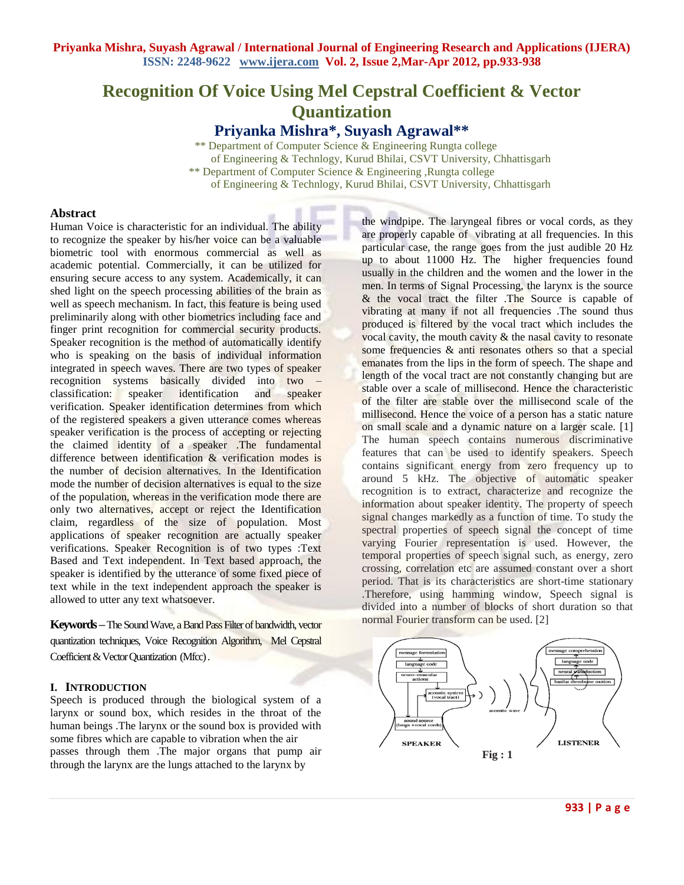# **Recognition Of Voice Using Mel Cepstral Coefficient & Vector Quantization Priyanka Mishra\*, Suyash Agrawal\*\***

 \*\* Department of Computer Science & Engineering Rungta college of Engineering & Technlogy, Kurud Bhilai, CSVT University, Chhattisgarh \*\* Department of Computer Science & Engineering ,Rungta college of Engineering & Technlogy, Kurud Bhilai, CSVT University, Chhattisgarh

#### **Abstract**

Human Voice is characteristic for an individual. The ability to recognize the speaker by his/her voice can be a valuable biometric tool with enormous commercial as well as academic potential. Commercially, it can be utilized for ensuring secure access to any system. Academically, it can shed light on the speech processing abilities of the brain as well as speech mechanism. In fact, this feature is being used preliminarily along with other biometrics including face and finger print recognition for commercial security products. Speaker recognition is the method of automatically identify who is speaking on the basis of individual information integrated in speech waves. There are two types of speaker recognition systems basically divided into two – classification: speaker identification and speaker verification. Speaker identification determines from which of the registered speakers a given utterance comes whereas speaker verification is the process of accepting or rejecting the claimed identity of a speaker .The fundamental difference between identification & verification modes is the number of decision alternatives. In the Identification mode the number of decision alternatives is equal to the size of the population, whereas in the verification mode there are only two alternatives, accept or reject the Identification claim, regardless of the size of population. Most applications of speaker recognition are actually speaker verifications. Speaker Recognition is of two types :Text Based and Text independent. In Text based approach, the speaker is identified by the utterance of some fixed piece of text while in the text independent approach the speaker is allowed to utter any text whatsoever.

**Keywords –**The Sound Wave, a Band Pass Filter of bandwidth, vector quantization techniques, Voice Recognition Algorithm, Mel Cepstral Coefficient & Vector Quantization (Mfcc) .

# **I. INTRODUCTION**

Speech is produced through the biological system of a larynx or sound box, which resides in the throat of the human beings .The larynx or the sound box is provided with some fibres which are capable to vibration when the air passes through them .The major organs that pump air through the larynx are the lungs attached to the larynx by

the windpipe. The laryngeal fibres or vocal cords, as they are properly capable of vibrating at all frequencies. In this particular case, the range goes from the just audible 20 Hz up to about 11000 Hz. The higher frequencies found usually in the children and the women and the lower in the men. In terms of Signal Processing, the larynx is the source & the vocal tract the filter .The Source is capable of vibrating at many if not all frequencies .The sound thus produced is filtered by the vocal tract which includes the vocal cavity, the mouth cavity  $\&$  the nasal cavity to resonate some frequencies & anti resonates others so that a special emanates from the lips in the form of speech. The shape and length of the vocal tract are not constantly changing but are stable over a scale of millisecond. Hence the characteristic of the filter are stable over the millisecond scale of the millisecond. Hence the voice of a person has a static nature on small scale and a dynamic nature on a larger scale. [1] The human speech contains numerous discriminative features that can be used to identify speakers. Speech contains significant energy from zero frequency up to around 5 kHz. The objective of automatic speaker recognition is to extract, characterize and recognize the information about speaker identity. The property of speech signal changes markedly as a function of time. To study the spectral properties of speech signal the concept of time varying Fourier representation is used. However, the temporal properties of speech signal such, as energy, zero crossing, correlation etc are assumed constant over a short period. That is its characteristics are short-time stationary .Therefore, using hamming window, Speech signal is divided into a number of blocks of short duration so that normal Fourier transform can be used. [2]

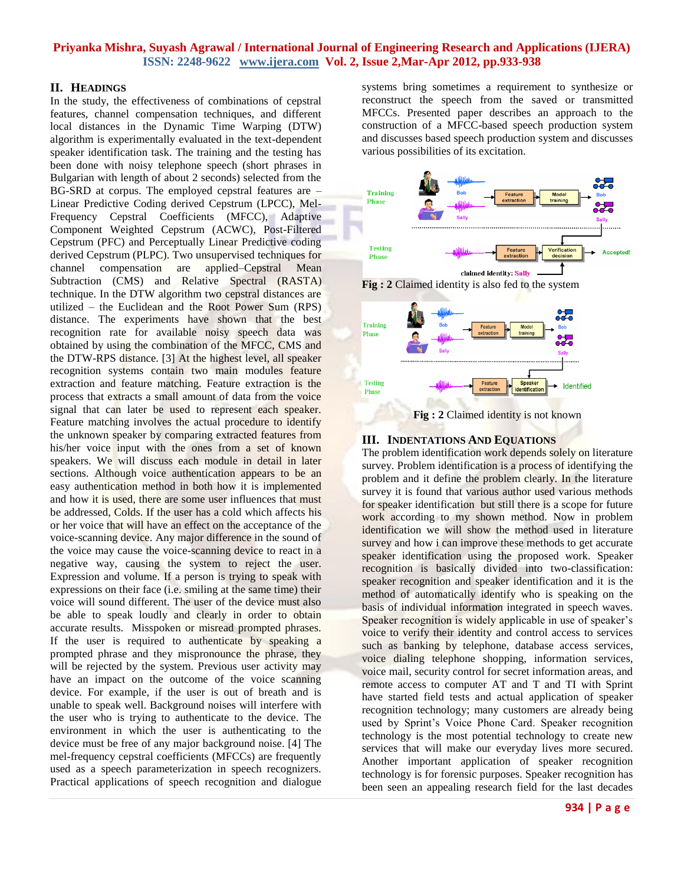## **II. HEADINGS**

In the study, the effectiveness of combinations of cepstral features, channel compensation techniques, and different local distances in the Dynamic Time Warping (DTW) algorithm is experimentally evaluated in the text-dependent speaker identification task. The training and the testing has been done with noisy telephone speech (short phrases in Bulgarian with length of about 2 seconds) selected from the BG-SRD at corpus. The employed cepstral features are – Linear Predictive Coding derived Cepstrum (LPCC), Mel-Frequency Cepstral Coefficients (MFCC), Adaptive Component Weighted Cepstrum (ACWC), Post-Filtered Cepstrum (PFC) and Perceptually Linear Predictive coding derived Cepstrum (PLPC). Two unsupervised techniques for channel compensation are applied–Cepstral Mean Subtraction (CMS) and Relative Spectral (RASTA) technique. In the DTW algorithm two cepstral distances are utilized – the Euclidean and the Root Power Sum (RPS) distance. The experiments have shown that the best recognition rate for available noisy speech data was obtained by using the combination of the MFCC, CMS and the DTW-RPS distance. [3] At the highest level, all speaker recognition systems contain two main modules feature extraction and feature matching. Feature extraction is the process that extracts a small amount of data from the voice signal that can later be used to represent each speaker. Feature matching involves the actual procedure to identify the unknown speaker by comparing extracted features from his/her voice input with the ones from a set of known speakers. We will discuss each module in detail in later sections. Although voice authentication appears to be an easy authentication method in both how it is implemented and how it is used, there are some user influences that must be addressed, Colds. If the user has a cold which affects his or her voice that will have an effect on the acceptance of the voice-scanning device. Any major difference in the sound of the voice may cause the voice-scanning device to react in a negative way, causing the system to reject the user. Expression and volume. If a person is trying to speak with expressions on their face (i.e. smiling at the same time) their voice will sound different. The user of the device must also be able to speak loudly and clearly in order to obtain accurate results. Misspoken or misread prompted phrases. If the user is required to authenticate by speaking a prompted phrase and they mispronounce the phrase, they will be rejected by the system. Previous user activity may have an impact on the outcome of the voice scanning device. For example, if the user is out of breath and is unable to speak well. Background noises will interfere with the user who is trying to authenticate to the device. The environment in which the user is authenticating to the device must be free of any major background noise. [4] The mel-frequency cepstral coefficients (MFCCs) are frequently used as a speech parameterization in speech recognizers. Practical applications of speech recognition and dialogue

systems bring sometimes a requirement to synthesize or reconstruct the speech from the saved or transmitted MFCCs. Presented paper describes an approach to the construction of a MFCC-based speech production system and discusses based speech production system and discusses various possibilities of its excitation.



**Fig : 2** Claimed identity is also fed to the system





# **III. INDENTATIONS AND EQUATIONS**

The problem identification work depends solely on literature survey. Problem identification is a process of identifying the problem and it define the problem clearly. In the literature survey it is found that various author used various methods for speaker identification but still there is a scope for future work according to my shown method. Now in problem identification we will show the method used in literature survey and how i can improve these methods to get accurate speaker identification using the proposed work. Speaker recognition is basically divided into two-classification: speaker recognition and speaker identification and it is the method of automatically identify who is speaking on the basis of individual information integrated in speech waves. Speaker recognition is widely applicable in use of speaker's voice to verify their identity and control access to services such as banking by telephone, database access services, voice dialing telephone shopping, information services, voice mail, security control for secret information areas, and remote access to computer AT and T and TI with Sprint have started field tests and actual application of speaker recognition technology; many customers are already being used by Sprint"s Voice Phone Card. Speaker recognition technology is the most potential technology to create new services that will make our everyday lives more secured. Another important application of speaker recognition technology is for forensic purposes. Speaker recognition has been seen an appealing research field for the last decades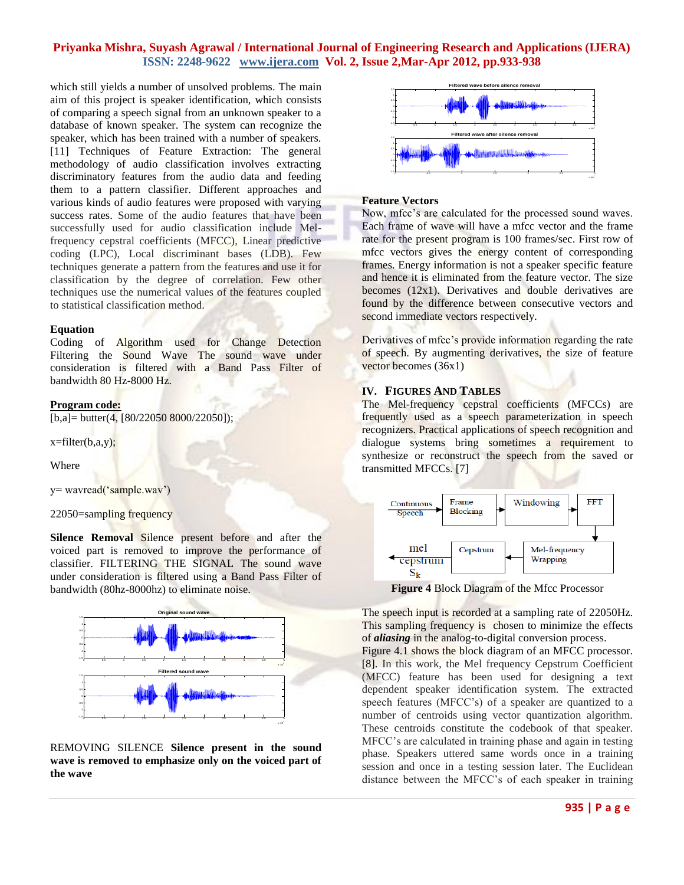which still yields a number of unsolved problems. The main aim of this project is speaker identification, which consists of comparing a speech signal from an unknown speaker to a database of known speaker. The system can recognize the speaker, which has been trained with a number of speakers. [11] Techniques of Feature Extraction: The general methodology of audio classification involves extracting discriminatory features from the audio data and feeding them to a pattern classifier. Different approaches and various kinds of audio features were proposed with varying success rates. Some of the audio features that have been successfully used for audio classification include Melfrequency cepstral coefficients (MFCC), Linear predictive coding (LPC), Local discriminant bases (LDB). Few techniques generate a pattern from the features and use it for classification by the degree of correlation. Few other techniques use the numerical values of the features coupled to statistical classification method.

#### **Equation**

Coding of Algorithm used for Change Detection Filtering the Sound Wave The sound wave under consideration is filtered with a Band Pass Filter of bandwidth 80 Hz-8000 Hz.

#### **Program code:**

 $[b, a] = butter(4, [80/22050 8000/22050]);$ 

 $x = filter(b,a,y);$ 

Where

y= wavread("sample.wav")

22050=sampling frequency

**Silence Removal** Silence present before and after the voiced part is removed to improve the performance of classifier. FILTERING THE SIGNAL The sound wave under consideration is filtered using a Band Pass Filter of bandwidth (80hz-8000hz) to eliminate noise.



REMOVING SILENCE **Silence present in the sound wave is removed to emphasize only on the voiced part of the wave** 



#### **Feature Vectors**

Now, mfcc"s are calculated for the processed sound waves. Each frame of wave will have a mfcc vector and the frame rate for the present program is 100 frames/sec. First row of mfcc vectors gives the energy content of corresponding frames. Energy information is not a speaker specific feature and hence it is eliminated from the feature vector. The size becomes (12x1). Derivatives and double derivatives are found by the difference between consecutive vectors and second immediate vectors respectively.

Derivatives of mfcc's provide information regarding the rate of speech. By augmenting derivatives, the size of feature vector becomes (36x1)

#### **IV. FIGURES AND TABLES**

The Mel-frequency cepstral coefficients (MFCCs) are frequently used as a speech parameterization in speech recognizers. Practical applications of speech recognition and dialogue systems bring sometimes a requirement to synthesize or reconstruct the speech from the saved or transmitted MFCCs. [7]



**Figure 4** Block Diagram of the Mfcc Processor

The speech input is recorded at a sampling rate of 22050Hz. This sampling frequency is chosen to minimize the effects of *aliasing* in the analog-to-digital conversion process.

Figure 4.1 shows the block diagram of an MFCC processor. [8]. In this work, the Mel frequency Cepstrum Coefficient (MFCC) feature has been used for designing a text dependent speaker identification system. The extracted speech features (MFCC"s) of a speaker are quantized to a number of centroids using vector quantization algorithm. These centroids constitute the codebook of that speaker. MFCC"s are calculated in training phase and again in testing phase. Speakers uttered same words once in a training session and once in a testing session later. The Euclidean distance between the MFCC"s of each speaker in training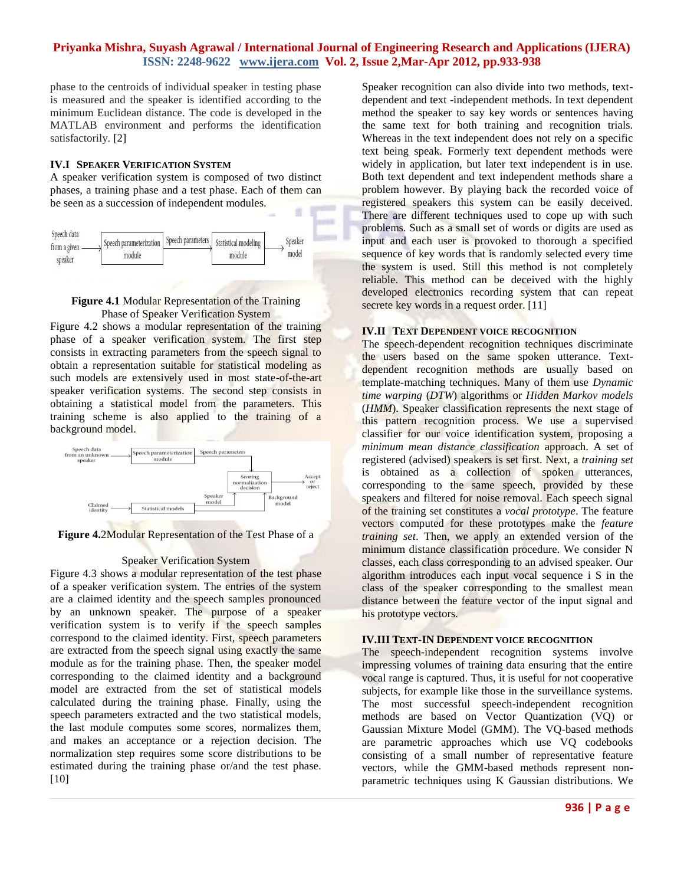phase to the centroids of individual speaker in testing phase is measured and the speaker is identified according to the minimum Euclidean distance. The code is developed in the MATLAB environment and performs the identification satisfactorily. [2]

#### **IV.I SPEAKER VERIFICATION SYSTEM**

A speaker verification system is composed of two distinct phases, a training phase and a test phase. Each of them can be seen as a succession of independent modules.



## **Figure 4.1** Modular Representation of the Training Phase of Speaker Verification System

Figure 4.2 shows a modular representation of the training phase of a speaker verification system. The first step consists in extracting parameters from the speech signal to obtain a representation suitable for statistical modeling as such models are extensively used in most state-of-the-art speaker verification systems. The second step consists in obtaining a statistical model from the parameters. This training scheme is also applied to the training of a background model.



**Figure 4.**2Modular Representation of the Test Phase of a

#### Speaker Verification System

Figure 4.3 shows a modular representation of the test phase of a speaker verification system. The entries of the system are a claimed identity and the speech samples pronounced by an unknown speaker. The purpose of a speaker verification system is to verify if the speech samples correspond to the claimed identity. First, speech parameters are extracted from the speech signal using exactly the same module as for the training phase. Then, the speaker model corresponding to the claimed identity and a background model are extracted from the set of statistical models calculated during the training phase. Finally, using the speech parameters extracted and the two statistical models, the last module computes some scores, normalizes them, and makes an acceptance or a rejection decision. The normalization step requires some score distributions to be estimated during the training phase or/and the test phase. [10]

Speaker recognition can also divide into two methods, textdependent and text -independent methods. In text dependent method the speaker to say key words or sentences having the same text for both training and recognition trials. Whereas in the text independent does not rely on a specific text being speak. Formerly text dependent methods were widely in application, but later text independent is in use. Both text dependent and text independent methods share a problem however. By playing back the recorded voice of registered speakers this system can be easily deceived. There are different techniques used to cope up with such problems. Such as a small set of words or digits are used as input and each user is provoked to thorough a specified sequence of key words that is randomly selected every time the system is used. Still this method is not completely reliable. This method can be deceived with the highly developed electronics recording system that can repeat secrete key words in a request order. [11]

# **IV.II** TEXT DEPENDENT VOICE RECOGNITION

The speech-dependent recognition techniques discriminate the users based on the same spoken utterance. Textdependent recognition methods are usually based on template-matching techniques. Many of them use *Dynamic time warping* (*DTW*) algorithms or *Hidden Markov models*  (*HMM*). Speaker classification represents the next stage of this pattern recognition process. We use a supervised classifier for our voice identification system, proposing a *minimum mean distance classification* approach. A set of registered (advised) speakers is set first. Next, a *training set*  is obtained as a collection of spoken utterances, corresponding to the same speech, provided by these speakers and filtered for noise removal. Each speech signal of the training set constitutes a *vocal prototype*. The feature vectors computed for these prototypes make the *feature training set*. Then, we apply an extended version of the minimum distance classification procedure. We consider N classes, each class corresponding to an advised speaker. Our algorithm introduces each input vocal sequence i S in the class of the speaker corresponding to the smallest mean distance between the feature vector of the input signal and his prototype vectors.

#### **IV.III TEXT-IN DEPENDENT VOICE RECOGNITION**

The speech-independent recognition systems involve impressing volumes of training data ensuring that the entire vocal range is captured. Thus, it is useful for not cooperative subjects, for example like those in the surveillance systems. The most successful speech-independent recognition methods are based on Vector Quantization (VQ) or Gaussian Mixture Model (GMM). The VQ-based methods are parametric approaches which use VQ codebooks consisting of a small number of representative feature vectors, while the GMM-based methods represent nonparametric techniques using K Gaussian distributions. We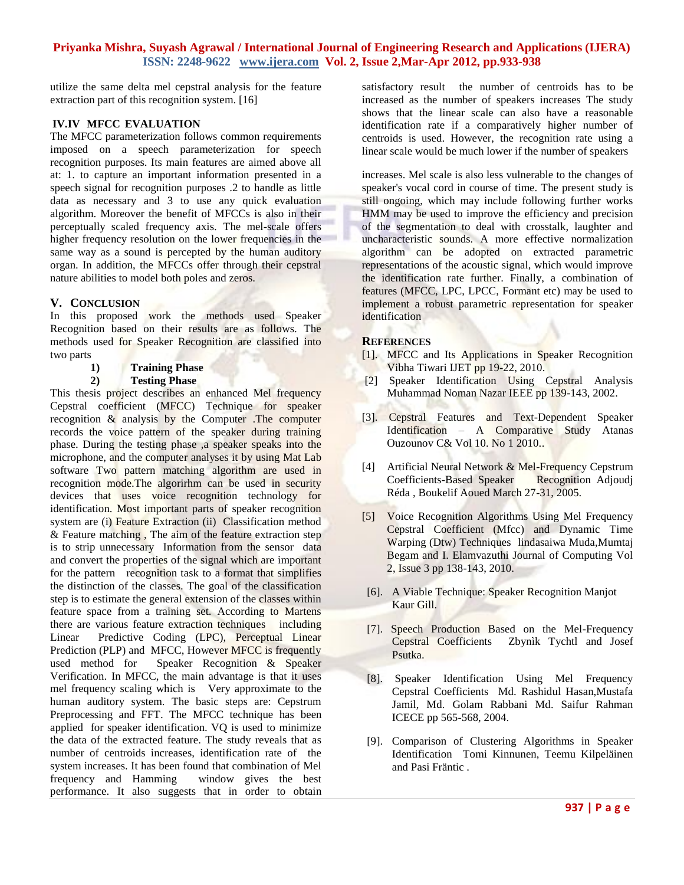utilize the same delta mel cepstral analysis for the feature extraction part of this recognition system. [16]

## **IV.IV MFCC EVALUATION**

The MFCC parameterization follows common requirements imposed on a speech parameterization for speech recognition purposes. Its main features are aimed above all at: 1. to capture an important information presented in a speech signal for recognition purposes .2 to handle as little data as necessary and 3 to use any quick evaluation algorithm. Moreover the benefit of MFCCs is also in their perceptually scaled frequency axis. The mel-scale offers higher frequency resolution on the lower frequencies in the same way as a sound is percepted by the human auditory organ. In addition, the MFCCs offer through their cepstral nature abilities to model both poles and zeros.

## **V. CONCLUSION**

In this proposed work the methods used Speaker Recognition based on their results are as follows. The methods used for Speaker Recognition are classified into two parts

**1) Training Phase**

## **2) Testing Phase**

This thesis project describes an enhanced Mel frequency Cepstral coefficient (MFCC) Technique for speaker recognition & analysis by the Computer .The computer records the voice pattern of the speaker during training phase. During the testing phase ,a speaker speaks into the microphone, and the computer analyses it by using Mat Lab software Two pattern matching algorithm are used in recognition mode.The algorirhm can be used in security devices that uses voice recognition technology for identification. Most important parts of speaker recognition system are (i) Feature Extraction (ii) Classification method & Feature matching, The aim of the feature extraction step is to strip unnecessary Information from the sensor data and convert the properties of the signal which are important for the pattern recognition task to a format that simplifies the distinction of the classes. The goal of the classification step is to estimate the general extension of the classes within feature space from a training set. According to Martens there are various feature extraction techniques including Linear Predictive Coding (LPC), Perceptual Linear Prediction (PLP) and MFCC, However MFCC is frequently used method for Speaker Recognition & Speaker Verification. In MFCC, the main advantage is that it uses mel frequency scaling which is Very approximate to the human auditory system. The basic steps are: Cepstrum Preprocessing and FFT. The MFCC technique has been applied for speaker identification. VQ is used to minimize the data of the extracted feature. The study reveals that as number of centroids increases, identification rate of the system increases. It has been found that combination of Mel frequency and Hamming window gives the best performance. It also suggests that in order to obtain

satisfactory result the number of centroids has to be increased as the number of speakers increases The study shows that the linear scale can also have a reasonable identification rate if a comparatively higher number of centroids is used. However, the recognition rate using a linear scale would be much lower if the number of speakers

increases. Mel scale is also less vulnerable to the changes of speaker's vocal cord in course of time. The present study is still ongoing, which may include following further works HMM may be used to improve the efficiency and precision of the segmentation to deal with crosstalk, laughter and uncharacteristic sounds. A more effective normalization algorithm can be adopted on extracted parametric representations of the acoustic signal, which would improve the identification rate further. Finally, a combination of features (MFCC, LPC, LPCC, Formant etc) may be used to implement a robust parametric representation for speaker identification

## **REFERENCES**

- [1]. MFCC and Its Applications in Speaker Recognition Vibha Tiwari IJET pp 19-22, 2010.
- [2] Speaker Identification Using Cepstral Analysis Muhammad Noman Nazar IEEE pp 139-143, 2002.
- [3]. Cepstral Features and Text-Dependent Speaker Identification – A Comparative Study Atanas Ouzounov C& Vol 10. No 1 2010..
- [4] Artificial Neural Network & Mel-Frequency Cepstrum Coefficients-Based Speaker Recognition Adjoudj Réda , Boukelif Aoued March 27-31, 2005.
- [5] Voice Recognition Algorithms Using Mel Frequency Cepstral Coefficient (Mfcc) and Dynamic Time Warping (Dtw) Techniques lindasaiwa Muda,Mumtaj Begam and I. Elamvazuthi Journal of Computing Vol 2, Issue 3 pp 138-143, 2010.
- [6]. A Viable Technique: Speaker Recognition Manjot Kaur Gill.
- [7]. Speech Production Based on the Mel-Frequency Cepstral Coefficients Zbynìk Tychtl and Josef Psutka.
- [8]. Speaker Identification Using Mel Frequency Cepstral Coefficients Md. Rashidul Hasan,Mustafa Jamil, Md. Golam Rabbani Md. Saifur Rahman ICECE pp 565-568, 2004.
- [9]. Comparison of Clustering Algorithms in Speaker Identification Tomi Kinnunen, Teemu Kilpeläinen and Pasi Fräntic .